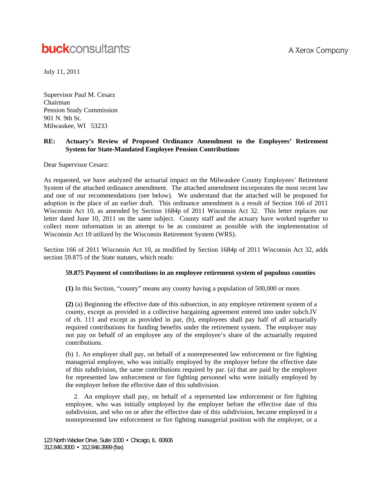# A Xerox Company

# **buck**consultants

July 11, 2011

Supervisor Paul M. Cesarz Chairman Pension Study Commission 901 N. 9th St. Milwaukee, WI 53233

# **RE: Actuary's Review of Proposed Ordinance Amendment to the Employees' Retirement System for State-Mandated Employee Pension Contributions**

Dear Supervisor Cesarz:

As requested, we have analyzed the actuarial impact on the Milwaukee County Employees' Retirement System of the attached ordinance amendment. The attached amendment incorporates the most recent law and one of our recommendations (see below). We understand that the attached will be proposed for adoption in the place of an earlier draft. This ordinance amendment is a result of Section 166 of 2011 Wisconsin Act 10, as amended by Section 1684p of 2011 Wisconsin Act 32. This letter replaces our letter dated June 10, 2011 on the same subject. County staff and the actuary have worked together to collect more information in an attempt to be as consistent as possible with the implementation of Wisconsin Act 10 utilized by the Wisconsin Retirement System (WRS).

Section 166 of 2011 Wisconsin Act 10, as modified by Section 1684p of 2011 Wisconsin Act 32, adds section 59.875 of the State statutes, which reads:

# **59.875 Payment of contributions in an employee retirement system of populous counties**

**(1)** In this Section, "county" means any county having a population of 500,000 or more.

**(2)** (a) Beginning the effective date of this subsection, in any employee retirement system of a county, except as provided in a collective bargaining agreement entered into under subch.IV of ch. 111 and except as provided in par, (b), employees shall pay half of all actuarially required contributions for funding benefits under the retirement system. The employer may not pay on behalf of an employee any of the employee's share of the actuarially required contributions.

(b) 1. An employer shall pay, on behalf of a nonrepresented law enforcement or fire fighting managerial employee, who was initially employed by the employer before the effective date of this subdivision, the same contributions required by par. (a) that are paid by the employer for represented law enforcement or fire fighting personnel who were initially employed by the employer before the effective date of this subdivision.

 2. An employer shall pay, on behalf of a represented law enforcement or fire fighting employee, who was initially employed by the employer before the effective date of this subdivision, and who on or after the effective date of this subdivision, became employed in a nonrepresented law enforcement or fire fighting managerial position with the employer, or a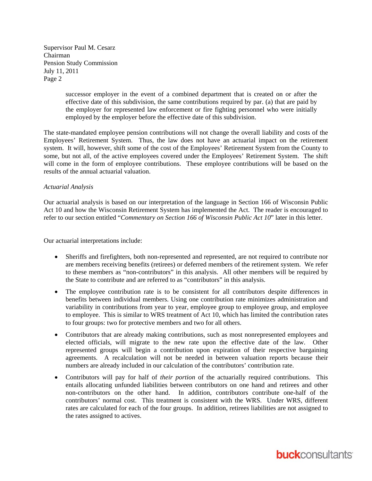> successor employer in the event of a combined department that is created on or after the effective date of this subdivision, the same contributions required by par. (a) that are paid by the employer for represented law enforcement or fire fighting personnel who were initially employed by the employer before the effective date of this subdivision.

The state-mandated employee pension contributions will not change the overall liability and costs of the Employees' Retirement System. Thus, the law does not have an actuarial impact on the retirement system. It will, however, shift some of the cost of the Employees' Retirement System from the County to some, but not all, of the active employees covered under the Employees' Retirement System. The shift will come in the form of employee contributions. These employee contributions will be based on the results of the annual actuarial valuation.

#### *Actuarial Analysis*

Our actuarial analysis is based on our interpretation of the language in Section 166 of Wisconsin Public Act 10 and how the Wisconsin Retirement System has implemented the Act. The reader is encouraged to refer to our section entitled "*Commentary on Section 166 of Wisconsin Public Act 10*" later in this letter.

Our actuarial interpretations include:

- Sheriffs and firefighters, both non-represented and represented, are not required to contribute nor are members receiving benefits (retirees) or deferred members of the retirement system. We refer to these members as "non-contributors" in this analysis. All other members will be required by the State to contribute and are referred to as "contributors" in this analysis.
- The employee contribution rate is to be consistent for all contributors despite differences in benefits between individual members. Using one contribution rate minimizes administration and variability in contributions from year to year, employee group to employee group, and employee to employee. This is similar to WRS treatment of Act 10, which has limited the contribution rates to four groups: two for protective members and two for all others.
- Contributors that are already making contributions, such as most nonrepresented employees and elected officials, will migrate to the new rate upon the effective date of the law. Other represented groups will begin a contribution upon expiration of their respective bargaining agreements. A recalculation will not be needed in between valuation reports because their numbers are already included in our calculation of the contributors' contribution rate.
- Contributors will pay for half of *their portion* of the actuarially required contributions. This entails allocating unfunded liabilities between contributors on one hand and retirees and other non-contributors on the other hand. In addition, contributors contribute one-half of the contributors' normal cost. This treatment is consistent with the WRS. Under WRS, different rates are calculated for each of the four groups. In addition, retirees liabilities are not assigned to the rates assigned to actives.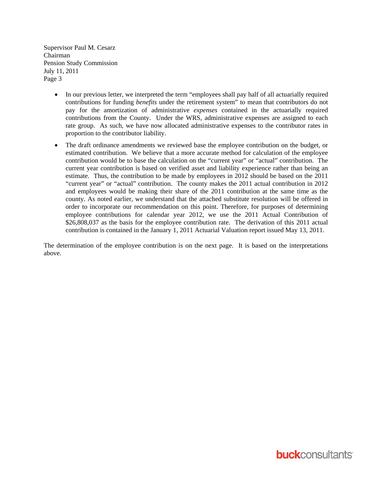- In our previous letter, we interpreted the term "employees shall pay half of all actuarially required contributions for funding *benefits* under the retirement system" to mean that contributors do not pay for the amortization of administrative *expenses* contained in the actuarially required contributions from the County. Under the WRS, administrative expenses are assigned to each rate group. As such, we have now allocated administrative expenses to the contributor rates in proportion to the contributor liability.
- The draft ordinance amendments we reviewed base the employee contribution on the budget, or estimated contribution. We believe that a more accurate method for calculation of the employee contribution would be to base the calculation on the "current year" or "actual" contribution. The current year contribution is based on verified asset and liability experience rather than being an estimate. Thus, the contribution to be made by employees in 2012 should be based on the 2011 "current year" or "actual" contribution. The county makes the 2011 actual contribution in 2012 and employees would be making their share of the 2011 contribution at the same time as the county. As noted earlier, we understand that the attached substitute resolution will be offered in order to incorporate our recommendation on this point. Therefore, for purposes of determining employee contributions for calendar year 2012, we use the 2011 Actual Contribution of \$26,808,037 as the basis for the employee contribution rate. The derivation of this 2011 actual contribution is contained in the January 1, 2011 Actuarial Valuation report issued May 13, 2011.

The determination of the employee contribution is on the next page. It is based on the interpretations above.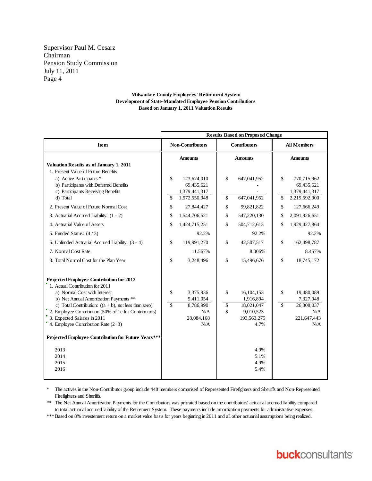#### **Milwaukee County Employees' Retirement System Development of State-Mandated Employee Pension Contributions Based on January 1, 2011 Valuation Results**

|                                                                                                                                                             | <b>Results Based on Proposed Change</b> |                                                             |                     |                            |                    |                                                             |
|-------------------------------------------------------------------------------------------------------------------------------------------------------------|-----------------------------------------|-------------------------------------------------------------|---------------------|----------------------------|--------------------|-------------------------------------------------------------|
| Item                                                                                                                                                        | <b>Non-Contributors</b>                 |                                                             | <b>Contributors</b> |                            | <b>All Members</b> |                                                             |
| Valuation Results as of January 1, 2011                                                                                                                     | <b>Amounts</b>                          |                                                             | <b>Amounts</b>      |                            | <b>Amounts</b>     |                                                             |
| 1. Present Value of Future Benefits<br>a) Active Participants *<br>b) Participants with Deferred Benefits<br>c) Participants Receiving Benefits<br>d) Total | \$<br>\$                                | 123,674,010<br>69,435,621<br>1,379,441,317<br>1,572,550,948 | \$<br>\$            | 647,041,952<br>647,041,952 | \$<br>\$           | 770,715,962<br>69,435,621<br>1,379,441,317<br>2,219,592,900 |
| 2. Present Value of Future Normal Cost                                                                                                                      | \$                                      | 27,844,427                                                  | \$                  | 99,821,822                 | \$                 | 127,666,249                                                 |
| 3. Actuarial Accrued Liability: (1 - 2)                                                                                                                     | \$                                      | 1,544,706,521                                               | \$                  | 547,220,130                | \$                 | 2,091,926,651                                               |
| 4. Actuarial Value of Assets                                                                                                                                | \$                                      | 1,424,715,251                                               | \$                  | 504,712,613                | \$                 | 1,929,427,864                                               |
| 5. Funded Status: $(4/3)$                                                                                                                                   |                                         | 92.2%                                                       |                     | 92.2%                      |                    | 92.2%                                                       |
| 6. Unfunded Actuarial Accrued Liability: (3 - 4)                                                                                                            | \$                                      | 119,991,270                                                 | \$                  | 42,507,517                 | \$                 | 162,498,787                                                 |
| 7. Normal Cost Rate                                                                                                                                         |                                         | 11.567%                                                     |                     | 8.006%                     |                    | 8.457%                                                      |
| 8. Total Normal Cost for the Plan Year                                                                                                                      | \$                                      | 3,248,496                                                   | \$                  | 15,496,676                 | \$                 | 18,745,172                                                  |
| Projected Employee Contribution for 2012<br>1. Actual Contribution for 2011                                                                                 |                                         |                                                             |                     |                            |                    |                                                             |
| a) Normal Cost with Interest                                                                                                                                | \$                                      | 3,375,936                                                   | \$                  | 16, 104, 153               | $\mathbb{S}$       | 19,480,089                                                  |
| b) Net Annual Amortization Payments **<br>c) Total Contribution: $((a + b), \text{ not less than zero})$                                                    | $\overline{\mathbb{S}}$                 | 5,411,054<br>8,786,990                                      | \$                  | 1,916,894<br>18,021,047    | $\mathcal{S}$      | 7,327,948<br>26,808,037                                     |
| 2. Employee Contribution (50% of 1c for Contributors)                                                                                                       |                                         | N/A                                                         | \$                  | 9,010,523                  |                    | N/A                                                         |
| 3. Expected Salaries in 2011                                                                                                                                |                                         | 28,084,168                                                  |                     | 193,563,275                |                    | 221,647,443                                                 |
| 4. Employee Contribution Rate $(2\div 3)$                                                                                                                   |                                         | N/A                                                         |                     | 4.7%                       |                    | N/A                                                         |
| Projected Employee Contribution for Future Years***                                                                                                         |                                         |                                                             |                     |                            |                    |                                                             |
| 2013                                                                                                                                                        |                                         |                                                             |                     | 4.9%                       |                    |                                                             |
| 2014                                                                                                                                                        |                                         |                                                             |                     | 5.1%                       |                    |                                                             |
| 2015                                                                                                                                                        |                                         |                                                             |                     | 4.9%                       |                    |                                                             |
| 2016                                                                                                                                                        |                                         |                                                             |                     | 5.4%                       |                    |                                                             |
|                                                                                                                                                             |                                         |                                                             |                     |                            |                    |                                                             |

\* The actives in the Non-Contributor group include 448 members comprised of Represented Firefighters and Sheriffs and Non-Represented Firefighters and Sheriffs.

\*\* The Net Annual Amortization Payments for the Contributors was prorated based on the contributors' actuarial accrued liability compared to total actuarial accrued laibility of the Retirement System. These payments include amortization payments for administrative expenses.

\*\*\* Based on 8% investement return on a market value basis for years beginning in 2011 and all other actuarial assumptions being realized.

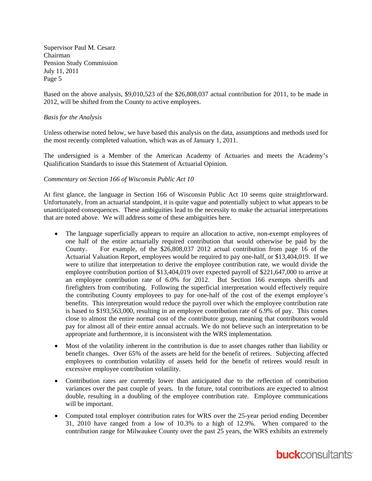Based on the above analysis, \$9,010,523 of the \$26,808,037 actual contribution for 2011, to be made in 2012, will be shifted from the County to active employees.

## *Basis for the Analysis*

Unless otherwise noted below, we have based this analysis on the data, assumptions and methods used for the most recently completed valuation, which was as of January 1, 2011.

The undersigned is a Member of the American Academy of Actuaries and meets the Academy's Qualification Standards to issue this Statement of Actuarial Opinion.

### *Commentary on Section 166 of Wisconsin Public Act 10*

At first glance, the language in Section 166 of Wisconsin Public Act 10 seems quite straightforward. Unfortunately, from an actuarial standpoint, it is quite vague and potentially subject to what appears to be unanticipated consequences. These ambiguities lead to the necessity to make the actuarial interpretations that are noted above. We will address some of these ambiguities here.

- The language superficially appears to require an allocation to active, non-exempt employees of one half of the entire actuarially required contribution that would otherwise be paid by the County. For example, of the \$26,808,037 2012 actual contribution from page 16 of the Actuarial Valuation Report, employees would be required to pay one-half, or \$13,404,019. If we were to utilize that interpretation to derive the employee contribution rate, we would divide the employee contribution portion of \$13,404,019 over expected payroll of \$221,647,000 to arrive at an employee contribution rate of 6.0% for 2012. But Section 166 exempts sheriffs and firefighters from contributing. Following the superficial interpretation would effectively require the contributing County employees to pay for one-half of the cost of the exempt employee's benefits. This interpretation would reduce the payroll over which the employee contribution rate is based to \$193,563,000, resulting in an employee contribution rate of 6.9% of pay. This comes close to almost the entire normal cost of the contributor group, meaning that contributors would pay for almost all of their entire annual accruals. We do not believe such an interpretation to be appropriate and furthermore, it is inconsistent with the WRS implementation.
- Most of the volatility inherent in the contribution is due to asset changes rather than liability or benefit changes. Over 65% of the assets are held for the benefit of retirees. Subjecting affected employees to contribution volatility of assets held for the benefit of retirees would result in excessive employee contribution volatility.
- Contribution rates are currently lower than anticipated due to the reflection of contribution variances over the past couple of years. In the future, total contributions are expected to almost double, resulting in a doubling of the employee contribution rate. Employee communications will be important.
- Computed total employer contribution rates for WRS over the 25-year period ending December 31, 2010 have ranged from a low of 10.3% to a high of 12.9%. When compared to the contribution range for Milwaukee County over the past 25 years, the WRS exhibits an extremely